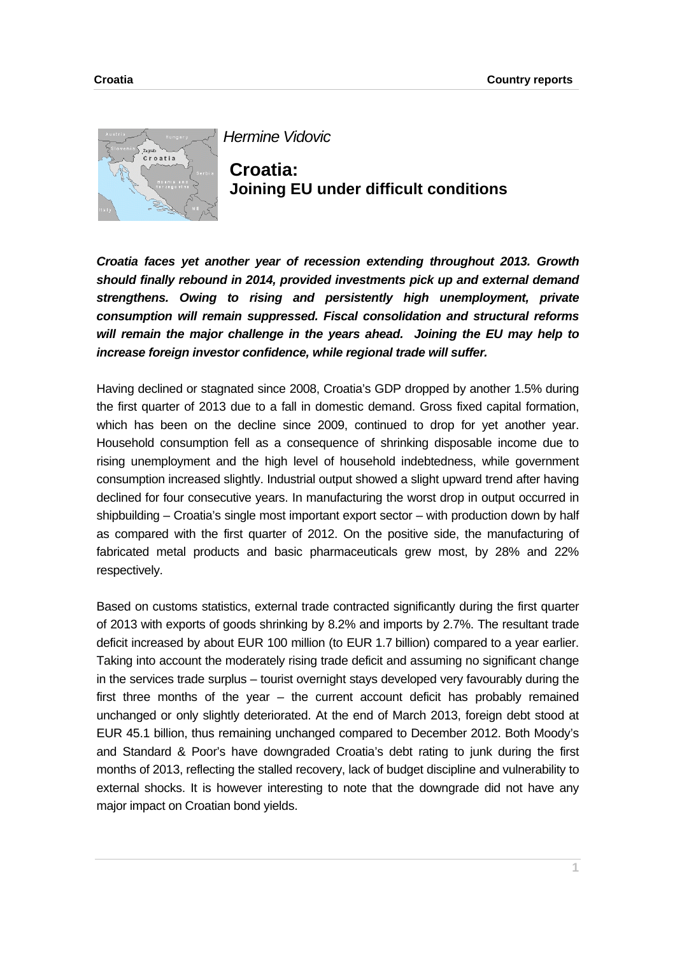

*Hermine Vidovic*

**Croatia: Joining EU under difficult conditions** 

*Croatia faces yet another year of recession extending throughout 2013. Growth should finally rebound in 2014, provided investments pick up and external demand strengthens. Owing to rising and persistently high unemployment, private consumption will remain suppressed. Fiscal consolidation and structural reforms will remain the major challenge in the years ahead. Joining the EU may help to increase foreign investor confidence, while regional trade will suffer.* 

Having declined or stagnated since 2008, Croatia's GDP dropped by another 1.5% during the first quarter of 2013 due to a fall in domestic demand. Gross fixed capital formation, which has been on the decline since 2009, continued to drop for yet another year. Household consumption fell as a consequence of shrinking disposable income due to rising unemployment and the high level of household indebtedness, while government consumption increased slightly. Industrial output showed a slight upward trend after having declined for four consecutive years. In manufacturing the worst drop in output occurred in shipbuilding – Croatia's single most important export sector – with production down by half as compared with the first quarter of 2012. On the positive side, the manufacturing of fabricated metal products and basic pharmaceuticals grew most, by 28% and 22% respectively.

Based on customs statistics, external trade contracted significantly during the first quarter of 2013 with exports of goods shrinking by 8.2% and imports by 2.7%. The resultant trade deficit increased by about EUR 100 million (to EUR 1.7 billion) compared to a year earlier. Taking into account the moderately rising trade deficit and assuming no significant change in the services trade surplus – tourist overnight stays developed very favourably during the first three months of the year – the current account deficit has probably remained unchanged or only slightly deteriorated. At the end of March 2013, foreign debt stood at EUR 45.1 billion, thus remaining unchanged compared to December 2012. Both Moody's and Standard & Poor's have downgraded Croatia's debt rating to junk during the first months of 2013, reflecting the stalled recovery, lack of budget discipline and vulnerability to external shocks. It is however interesting to note that the downgrade did not have any major impact on Croatian bond yields.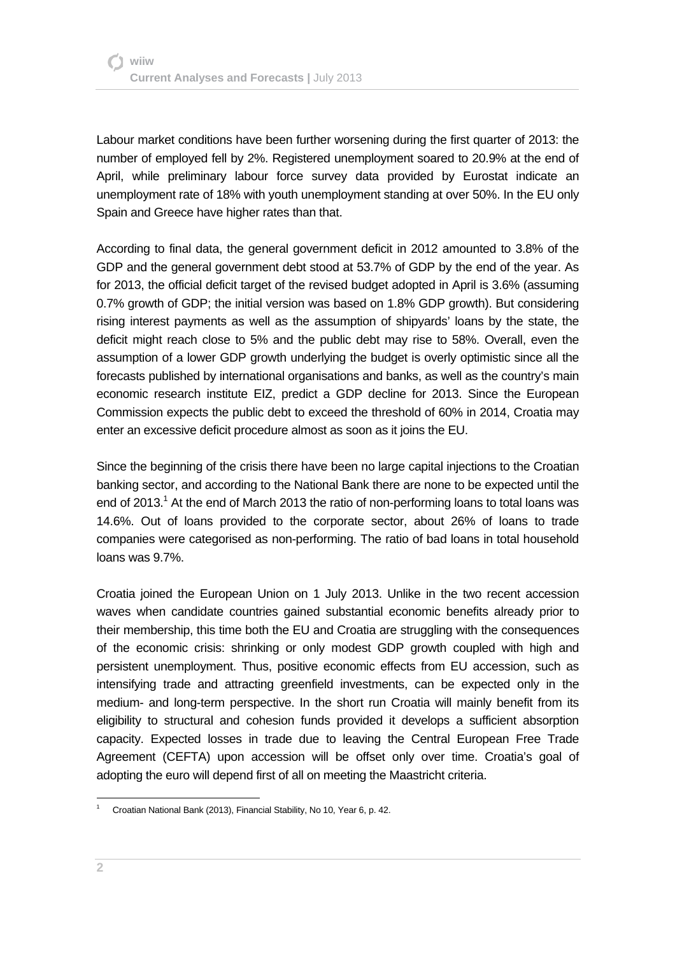Labour market conditions have been further worsening during the first quarter of 2013: the number of employed fell by 2%. Registered unemployment soared to 20.9% at the end of April, while preliminary labour force survey data provided by Eurostat indicate an unemployment rate of 18% with youth unemployment standing at over 50%. In the EU only Spain and Greece have higher rates than that.

According to final data, the general government deficit in 2012 amounted to 3.8% of the GDP and the general government debt stood at 53.7% of GDP by the end of the year. As for 2013, the official deficit target of the revised budget adopted in April is 3.6% (assuming 0.7% growth of GDP; the initial version was based on 1.8% GDP growth). But considering rising interest payments as well as the assumption of shipyards' loans by the state, the deficit might reach close to 5% and the public debt may rise to 58%. Overall, even the assumption of a lower GDP growth underlying the budget is overly optimistic since all the forecasts published by international organisations and banks, as well as the country's main economic research institute EIZ, predict a GDP decline for 2013. Since the European Commission expects the public debt to exceed the threshold of 60% in 2014, Croatia may enter an excessive deficit procedure almost as soon as it joins the EU.

Since the beginning of the crisis there have been no large capital injections to the Croatian banking sector, and according to the National Bank there are none to be expected until the end of 2013. $<sup>1</sup>$  At the end of March 2013 the ratio of non-performing loans to total loans was</sup> 14.6%. Out of loans provided to the corporate sector, about 26% of loans to trade companies were categorised as non-performing. The ratio of bad loans in total household loans was 9.7%.

Croatia joined the European Union on 1 July 2013. Unlike in the two recent accession waves when candidate countries gained substantial economic benefits already prior to their membership, this time both the EU and Croatia are struggling with the consequences of the economic crisis: shrinking or only modest GDP growth coupled with high and persistent unemployment. Thus, positive economic effects from EU accession, such as intensifying trade and attracting greenfield investments, can be expected only in the medium- and long-term perspective. In the short run Croatia will mainly benefit from its eligibility to structural and cohesion funds provided it develops a sufficient absorption capacity. Expected losses in trade due to leaving the Central European Free Trade Agreement (CEFTA) upon accession will be offset only over time. Croatia's goal of adopting the euro will depend first of all on meeting the Maastricht criteria.

l

<sup>1</sup> Croatian National Bank (2013), Financial Stability, No 10, Year 6, p. 42.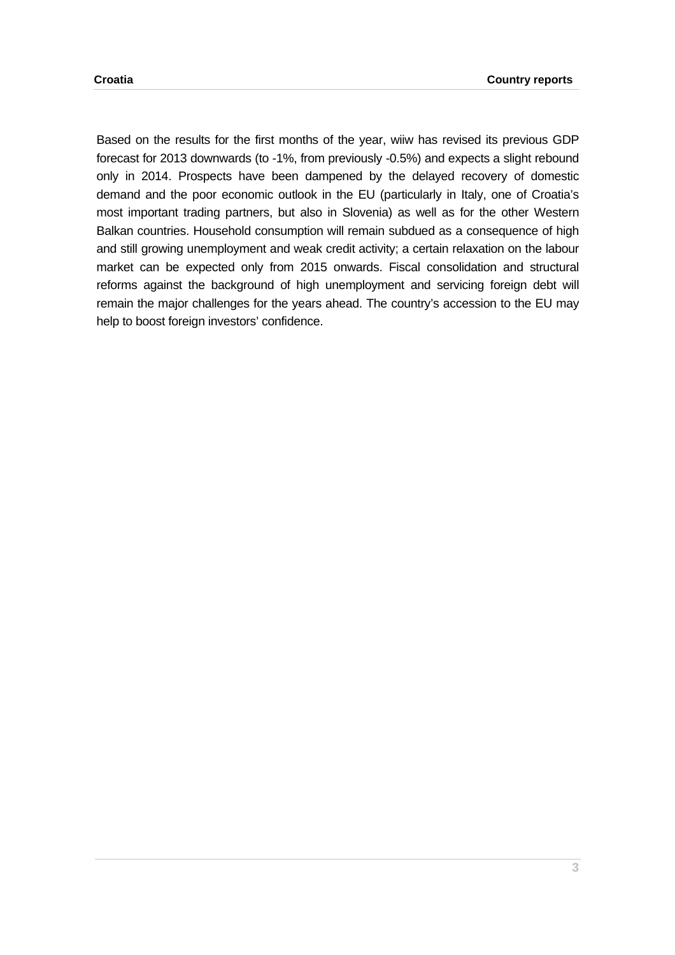Based on the results for the first months of the year, wiiw has revised its previous GDP forecast for 2013 downwards (to -1%, from previously -0.5%) and expects a slight rebound only in 2014. Prospects have been dampened by the delayed recovery of domestic demand and the poor economic outlook in the EU (particularly in Italy, one of Croatia's most important trading partners, but also in Slovenia) as well as for the other Western Balkan countries. Household consumption will remain subdued as a consequence of high and still growing unemployment and weak credit activity; a certain relaxation on the labour market can be expected only from 2015 onwards. Fiscal consolidation and structural reforms against the background of high unemployment and servicing foreign debt will remain the major challenges for the years ahead. The country's accession to the EU may help to boost foreign investors' confidence.